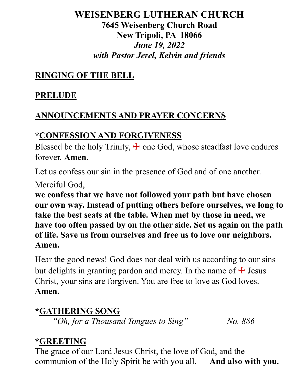## **WEISENBERG LUTHERAN CHURCH 7645 Weisenberg Church Road New Tripoli, PA 18066** *June 19, 2022 with Pastor Jerel, Kelvin and friends*

## **RINGING OF THE BELL**

## **PRELUDE**

## **ANNOUNCEMENTS AND PRAYER CONCERNS**

## **\*CONFESSION AND FORGIVENESS**

Blessed be the holy Trinity,  $\pm$  one God, whose steadfast love endures forever. **Amen.**

Let us confess our sin in the presence of God and of one another.

Merciful God,

**we confess that we have not followed your path but have chosen our own way. Instead of putting others before ourselves, we long to take the best seats at the table. When met by those in need, we have too often passed by on the other side. Set us again on the path of life. Save us from ourselves and free us to love our neighbors. Amen.**

Hear the good news! God does not deal with us according to our sins but delights in granting pardon and mercy. In the name of  $\pm$  Jesus Christ, your sins are forgiven. You are free to love as God loves. **Amen.**

## **\*GATHERING SONG**

*"Oh, for a Thousand Tongues to Sing" No. 886* 

## **\*GREETING**

The grace of our Lord Jesus Christ, the love of God, and the communion of the Holy Spirit be with you all. **And also with you.**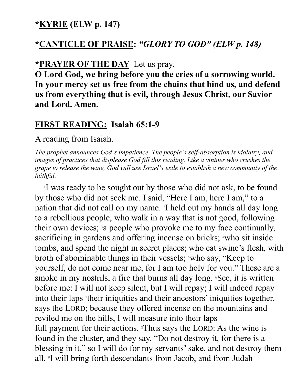### **\*KYRIE (ELW p. 147)**

### **\*CANTICLE OF PRAISE:** *"GLORY TO GOD" (ELW p. 148)*

### **\*PRAYER OF THE DAY** Let us pray.

**O Lord God, we bring before you the cries of a sorrowing world. In your mercy set us free from the chains that bind us, and defend us from everything that is evil, through Jesus Christ, our Savior and Lord. Amen.**

### **FIRST READING: Isaiah 65:1-9**

A reading from Isaiah.

*The prophet announces God's impatience. The people's self-absorption is idolatry, and images of practices that displease God fill this reading. Like a vintner who crushes the grape to release the wine, God will use Israel's exile to establish a new community of the faithful.*

1 I was ready to be sought out by those who did not ask, to be found by those who did not seek me. I said, "Here I am, here I am," to a nation that did not call on my name. <sup>2</sup> I held out my hands all day long to a rebellious people, who walk in a way that is not good, following their own devices;  $a$  people who provoke me to my face continually, sacrificing in gardens and offering incense on bricks; <sup>4</sup>who sit inside tombs, and spend the night in secret places; who eat swine's flesh, with broth of abominable things in their vessels; who say, "Keep to yourself, do not come near me, for I am too holy for you." These are a smoke in my nostrils, a fire that burns all day long. **See**, it is written before me: I will not keep silent, but I will repay; I will indeed repay into their laps <sup>7</sup> their iniquities and their ancestors' iniquities together, says the LORD; because they offered incense on the mountains and reviled me on the hills, I will measure into their laps full payment for their actions. <sup>8</sup>Thus says the LORD: As the wine is found in the cluster, and they say, "Do not destroy it, for there is a blessing in it," so I will do for my servants' sake, and not destroy them all. <sup>9</sup> I will bring forth descendants from Jacob, and from Judah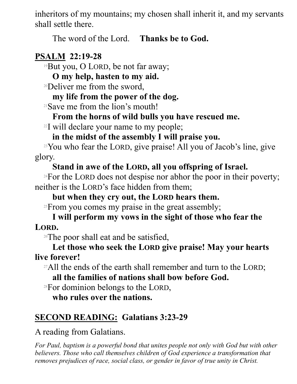inheritors of my mountains; my chosen shall inherit it, and my servants shall settle there.

The word of the Lord. **Thanks be to God.** 

## **PSALM 22:19-28**

<sup>19</sup>But you, O LORD, be not far away;

**O my help, hasten to my aid.**

<sup>20</sup>Deliver me from the sword,

## **my life from the power of the dog.**

<sup>21</sup>Save me from the lion's mouth!

## **From the horns of wild bulls you have rescued me.**

<sup>22</sup>I will declare your name to my people;

**in the midst of the assembly I will praise you.**

<sup>23</sup>You who fear the LORD, give praise! All you of Jacob's line, give glory.

## **Stand in awe of the LORD, all you offspring of Israel.**

 $24$ For the LORD does not despise nor abhor the poor in their poverty; neither is the LORD's face hidden from them;

## **but when they cry out, the LORD hears them.**

<sup>25</sup>From you comes my praise in the great assembly;

## **I will perform my vows in the sight of those who fear the LORD.**

 $26$ The poor shall eat and be satisfied,

## **Let those who seek the LORD give praise! May your hearts live forever!**

<sup>27</sup>All the ends of the earth shall remember and turn to the LORD; **all the families of nations shall bow before God.**

 $28$ For dominion belongs to the LORD,

**who rules over the nations.** 

# **SECOND READING: Galatians 3:23-29**

A reading from Galatians.

*For Paul, baptism is a powerful bond that unites people not only with God but with other believers. Those who call themselves children of God experience a transformation that removes prejudices of race, social class, or gender in favor of true unity in Christ.*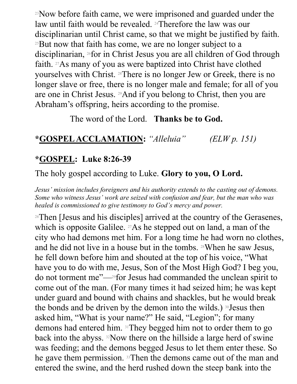<sup>23</sup>Now before faith came, we were imprisoned and guarded under the law until faith would be revealed. 24Therefore the law was our disciplinarian until Christ came, so that we might be justified by faith. <sup>25</sup>But now that faith has come, we are no longer subject to a disciplinarian, 26for in Christ Jesus you are all children of God through faith. 27As many of you as were baptized into Christ have clothed yourselves with Christ. 28There is no longer Jew or Greek, there is no longer slave or free, there is no longer male and female; for all of you are one in Christ Jesus. 29And if you belong to Christ, then you are Abraham's offspring, heirs according to the promise.

## The word of the Lord. **Thanks be to God.**

## **\*GOSPEL ACCLAMATION:** *"Alleluia" (ELW p. 151)*

## **\*GOSPEL: Luke 8:26-39**

The holy gospel according to Luke. **Glory to you, O Lord.**

*Jesus' mission includes foreigners and his authority extends to the casting out of demons. Some who witness Jesus' work are seized with confusion and fear, but the man who was healed is commissioned to give testimony to God's mercy and power.*

<sup>26</sup>Then [Jesus and his disciples] arrived at the country of the Gerasenes, which is opposite Galilee.  $27\text{As}$  he stepped out on land, a man of the city who had demons met him. For a long time he had worn no clothes, and he did not live in a house but in the tombs. 28When he saw Jesus, he fell down before him and shouted at the top of his voice, "What have you to do with me, Jesus, Son of the Most High God? I beg you, do not torment me"—29for Jesus had commanded the unclean spirit to come out of the man. (For many times it had seized him; he was kept under guard and bound with chains and shackles, but he would break the bonds and be driven by the demon into the wilds.) 30 Jesus then asked him, "What is your name?" He said, "Legion"; for many demons had entered him. 31They begged him not to order them to go back into the abyss. 32Now there on the hillside a large herd of swine was feeding; and the demons begged Jesus to let them enter these. So he gave them permission. 33Then the demons came out of the man and entered the swine, and the herd rushed down the steep bank into the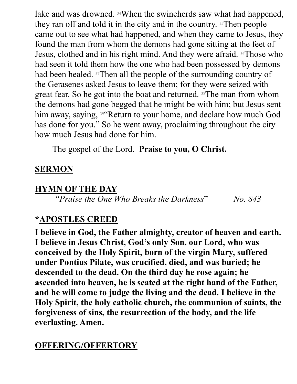lake and was drowned. 34When the swineherds saw what had happened, they ran off and told it in the city and in the country. 35Then people came out to see what had happened, and when they came to Jesus, they found the man from whom the demons had gone sitting at the feet of Jesus, clothed and in his right mind. And they were afraid. 36Those who had seen it told them how the one who had been possessed by demons had been healed. 37Then all the people of the surrounding country of the Gerasenes asked Jesus to leave them; for they were seized with great fear. So he got into the boat and returned. 38The man from whom the demons had gone begged that he might be with him; but Jesus sent him away, saying, <sup>39"</sup>Return to your home, and declare how much God has done for you." So he went away, proclaiming throughout the city how much Jesus had done for him.

The gospel of the Lord. **Praise to you, O Christ.** 

### **SERMON**

### **HYMN OF THE DAY**

*"Praise the One Who Breaks the Darkness*" *No. 843*

### **\*APOSTLES CREED**

**I believe in God, the Father almighty, creator of heaven and earth. I believe in Jesus Christ, God's only Son, our Lord, who was conceived by the Holy Spirit, born of the virgin Mary, suffered under Pontius Pilate, was crucified, died, and was buried; he descended to the dead. On the third day he rose again; he ascended into heaven, he is seated at the right hand of the Father, and he will come to judge the living and the dead. I believe in the Holy Spirit, the holy catholic church, the communion of saints, the forgiveness of sins, the resurrection of the body, and the life everlasting. Amen.**

### **OFFERING/OFFERTORY**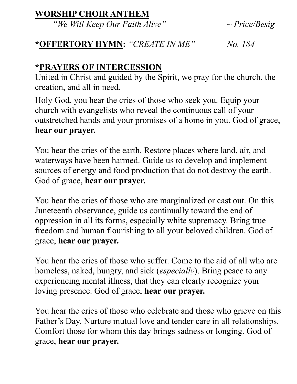### **WORSHIP CHOIR ANTHEM**

*"We Will Keep Our Faith Alive" ~ Price/Besig*

## **\*OFFERTORY HYMN:** *"CREATE IN ME" No. 184*

## **\*PRAYERS OF INTERCESSION**

United in Christ and guided by the Spirit, we pray for the church, the creation, and all in need.

Holy God, you hear the cries of those who seek you. Equip your church with evangelists who reveal the continuous call of your outstretched hands and your promises of a home in you. God of grace, **hear our prayer.**

You hear the cries of the earth. Restore places where land, air, and waterways have been harmed. Guide us to develop and implement sources of energy and food production that do not destroy the earth. God of grace, **hear our prayer.**

You hear the cries of those who are marginalized or cast out. On this Juneteenth observance, guide us continually toward the end of oppression in all its forms, especially white supremacy. Bring true freedom and human flourishing to all your beloved children. God of grace, **hear our prayer.**

You hear the cries of those who suffer. Come to the aid of all who are homeless, naked, hungry, and sick (*especially*). Bring peace to any experiencing mental illness, that they can clearly recognize your loving presence. God of grace, **hear our prayer.**

You hear the cries of those who celebrate and those who grieve on this Father's Day. Nurture mutual love and tender care in all relationships. Comfort those for whom this day brings sadness or longing. God of grace, **hear our prayer.**